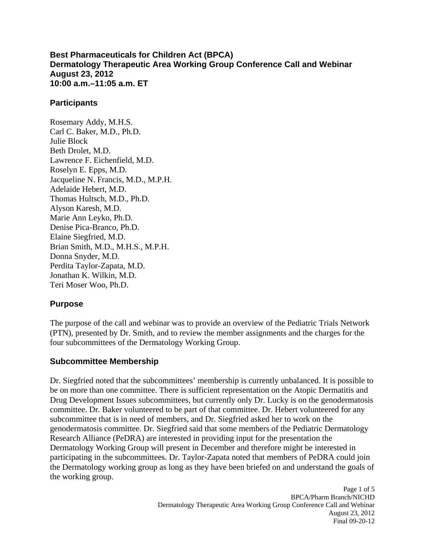**Best Pharmaceuticals for Children Act (BPCA) Dermatology Therapeutic Area Working Group Conference Call and Webinar August 23, 2012 10:00 a.m.–11:05 a.m. ET** 

#### **Participants**

Rosemary Addy, M.H.S. Carl C. Baker, M.D., Ph.D. Julie Block Beth Drolet, M.D. Lawrence F. Eichenfield, M.D. Roselyn E. Epps, M.D. Jacqueline N. Francis, M.D., M.P.H. Adelaide Hebert, M.D. Thomas Hultsch, M.D., Ph.D. Alyson Karesh, M.D. Marie Ann Leyko, Ph.D. Denise Pica-Branco, Ph.D. Elaine Siegfried, M.D. Brian Smith, M.D., M.H.S., M.P.H. Donna Snyder, M.D. Perdita Taylor-Zapata, M.D. Jonathan K. Wilkin, M.D. Teri Moser Woo, Ph.D.

## **Purpose**

The purpose of the call and webinar was to provide an overview of the Pediatric Trials Network (PTN), presented by Dr. Smith, and to review the member assignments and the charges for the four subcommittees of the Dermatology Working Group.

## **Subcommittee Membership**

Dr. Siegfried noted that the subcommittees' membership is currently unbalanced. It is possible to be on more than one committee. There is sufficient representation on the Atopic Dermatitis and Drug Development Issues subcommittees, but currently only Dr. Lucky is on the genodermatosis committee. Dr. Baker volunteered to be part of that committee. Dr. Hebert volunteered for any subcommittee that is in need of members, and Dr. Siegfried asked her to work on the genodermatosis committee. Dr. Siegfried said that some members of the Pediatric Dermatology Research Alliance (PeDRA) are interested in providing input for the presentation the Dermatology Working Group will present in December and therefore might be interested in participating in the subcommittees. Dr. Taylor-Zapata noted that members of PeDRA could join the Dermatology working group as long as they have been briefed on and understand the goals of the working group.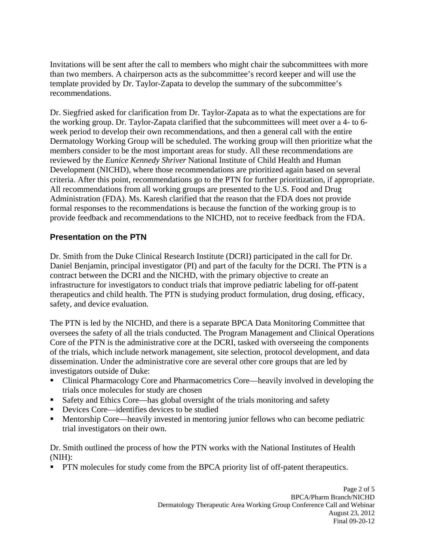Invitations will be sent after the call to members who might chair the subcommittees with more than two members. A chairperson acts as the subcommittee's record keeper and will use the template provided by Dr. Taylor-Zapata to develop the summary of the subcommittee's recommendations.

Dr. Siegfried asked for clarification from Dr. Taylor-Zapata as to what the expectations are for the working group. Dr. Taylor-Zapata clarified that the subcommittees will meet over a 4- to 6 week period to develop their own recommendations, and then a general call with the entire Dermatology Working Group will be scheduled. The working group will then prioritize what the members consider to be the most important areas for study. All these recommendations are reviewed by the *Eunice Kennedy Shriver* National Institute of Child Health and Human Development (NICHD), where those recommendations are prioritized again based on several criteria. After this point, recommendations go to the PTN for further prioritization, if appropriate. All recommendations from all working groups are presented to the U.S. Food and Drug Administration (FDA). Ms. Karesh clarified that the reason that the FDA does not provide formal responses to the recommendations is because the function of the working group is to provide feedback and recommendations to the NICHD, not to receive feedback from the FDA.

# **Presentation on the PTN**

Dr. Smith from the Duke Clinical Research Institute (DCRI) participated in the call for Dr. Daniel Benjamin, principal investigator (PI) and part of the faculty for the DCRI. The PTN is a contract between the DCRI and the NICHD, with the primary objective to create an infrastructure for investigators to conduct trials that improve pediatric labeling for off-patent therapeutics and child health. The PTN is studying product formulation, drug dosing, efficacy, safety, and device evaluation.

The PTN is led by the NICHD, and there is a separate BPCA Data Monitoring Committee that oversees the safety of all the trials conducted. The Program Management and Clinical Operations Core of the PTN is the administrative core at the DCRI, tasked with overseeing the components of the trials, which include network management, site selection, protocol development, and data dissemination. Under the administrative core are several other core groups that are led by investigators outside of Duke:

- Clinical Pharmacology Core and Pharmacometrics Core—heavily involved in developing the trials once molecules for study are chosen
- Safety and Ethics Core—has global oversight of the trials monitoring and safety
- Devices Core—identifies devices to be studied
- Mentorship Core—heavily invested in mentoring junior fellows who can become pediatric trial investigators on their own.

Dr. Smith outlined the process of how the PTN works with the National Institutes of Health (NIH):

**PTN** molecules for study come from the BPCA priority list of off-patent therapeutics.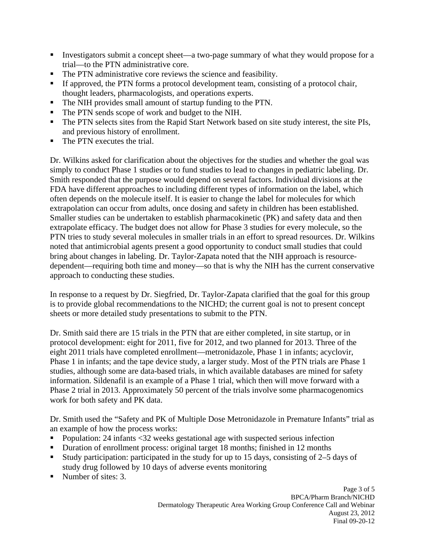- Investigators submit a concept sheet—a two-page summary of what they would propose for a trial—to the PTN administrative core.
- The PTN administrative core reviews the science and feasibility.
- If approved, the PTN forms a protocol development team, consisting of a protocol chair, thought leaders, pharmacologists, and operations experts.
- The NIH provides small amount of startup funding to the PTN.
- The PTN sends scope of work and budget to the NIH.
- The PTN selects sites from the Rapid Start Network based on site study interest, the site PIs, and previous history of enrollment.
- The PTN executes the trial.

Dr. Wilkins asked for clarification about the objectives for the studies and whether the goal was simply to conduct Phase 1 studies or to fund studies to lead to changes in pediatric labeling. Dr. Smith responded that the purpose would depend on several factors. Individual divisions at the FDA have different approaches to including different types of information on the label, which often depends on the molecule itself. It is easier to change the label for molecules for which extrapolation can occur from adults, once dosing and safety in children has been established. Smaller studies can be undertaken to establish pharmacokinetic (PK) and safety data and then extrapolate efficacy. The budget does not allow for Phase 3 studies for every molecule, so the PTN tries to study several molecules in smaller trials in an effort to spread resources. Dr. Wilkins noted that antimicrobial agents present a good opportunity to conduct small studies that could bring about changes in labeling. Dr. Taylor-Zapata noted that the NIH approach is resourcedependent—requiring both time and money—so that is why the NIH has the current conservative approach to conducting these studies.

In response to a request by Dr. Siegfried, Dr. Taylor-Zapata clarified that the goal for this group is to provide global recommendations to the NICHD; the current goal is not to present concept sheets or more detailed study presentations to submit to the PTN.

Dr. Smith said there are 15 trials in the PTN that are either completed, in site startup, or in protocol development: eight for 2011, five for 2012, and two planned for 2013. Three of the eight 2011 trials have completed enrollment—metronidazole, Phase 1 in infants; acyclovir, Phase 1 in infants; and the tape device study, a larger study. Most of the PTN trials are Phase 1 studies, although some are data-based trials, in which available databases are mined for safety information. Sildenafil is an example of a Phase 1 trial, which then will move forward with a Phase 2 trial in 2013. Approximately 50 percent of the trials involve some pharmacogenomics work for both safety and PK data.

Dr. Smith used the "Safety and PK of Multiple Dose Metronidazole in Premature Infants" trial as an example of how the process works:

- Population: 24 infants <32 weeks gestational age with suspected serious infection
- Duration of enrollment process: original target 18 months; finished in 12 months
- Study participation: participated in the study for up to 15 days, consisting of 2–5 days of study drug followed by 10 days of adverse events monitoring
- Number of sites: 3.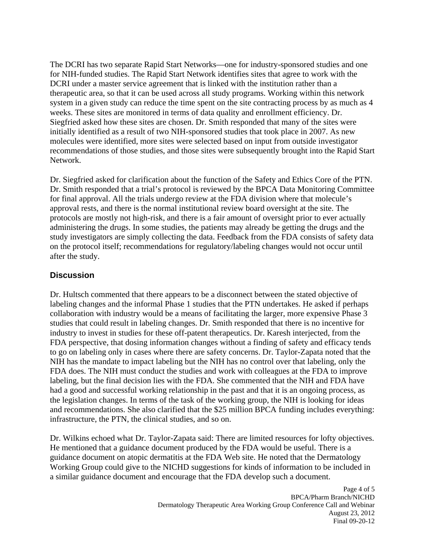The DCRI has two separate Rapid Start Networks—one for industry-sponsored studies and one for NIH-funded studies. The Rapid Start Network identifies sites that agree to work with the DCRI under a master service agreement that is linked with the institution rather than a therapeutic area, so that it can be used across all study programs. Working within this network system in a given study can reduce the time spent on the site contracting process by as much as 4 weeks. These sites are monitored in terms of data quality and enrollment efficiency. Dr. Siegfried asked how these sites are chosen. Dr. Smith responded that many of the sites were initially identified as a result of two NIH-sponsored studies that took place in 2007. As new molecules were identified, more sites were selected based on input from outside investigator recommendations of those studies, and those sites were subsequently brought into the Rapid Start Network.

Dr. Siegfried asked for clarification about the function of the Safety and Ethics Core of the PTN. Dr. Smith responded that a trial's protocol is reviewed by the BPCA Data Monitoring Committee for final approval. All the trials undergo review at the FDA division where that molecule's approval rests, and there is the normal institutional review board oversight at the site. The protocols are mostly not high-risk, and there is a fair amount of oversight prior to ever actually administering the drugs. In some studies, the patients may already be getting the drugs and the study investigators are simply collecting the data. Feedback from the FDA consists of safety data on the protocol itself; recommendations for regulatory/labeling changes would not occur until after the study.

# **Discussion**

Dr. Hultsch commented that there appears to be a disconnect between the stated objective of labeling changes and the informal Phase 1 studies that the PTN undertakes. He asked if perhaps collaboration with industry would be a means of facilitating the larger, more expensive Phase 3 studies that could result in labeling changes. Dr. Smith responded that there is no incentive for industry to invest in studies for these off-patent therapeutics. Dr. Karesh interjected, from the FDA perspective, that dosing information changes without a finding of safety and efficacy tends to go on labeling only in cases where there are safety concerns. Dr. Taylor-Zapata noted that the NIH has the mandate to impact labeling but the NIH has no control over that labeling, only the FDA does. The NIH must conduct the studies and work with colleagues at the FDA to improve labeling, but the final decision lies with the FDA. She commented that the NIH and FDA have had a good and successful working relationship in the past and that it is an ongoing process, as the legislation changes. In terms of the task of the working group, the NIH is looking for ideas and recommendations. She also clarified that the \$25 million BPCA funding includes everything: infrastructure, the PTN, the clinical studies, and so on.

Dr. Wilkins echoed what Dr. Taylor-Zapata said: There are limited resources for lofty objectives. He mentioned that a guidance document produced by the FDA would be useful. There is a guidance document on atopic dermatitis at the FDA Web site. He noted that the Dermatology Working Group could give to the NICHD suggestions for kinds of information to be included in a similar guidance document and encourage that the FDA develop such a document.